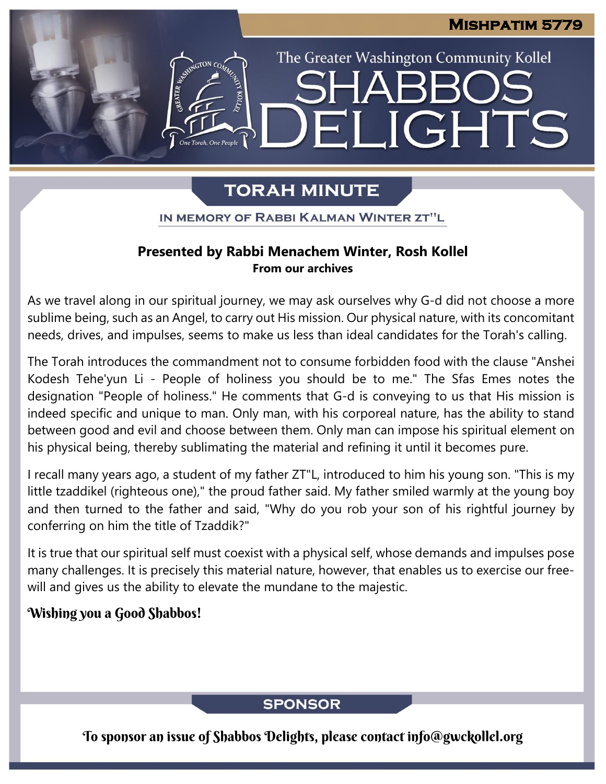The Greater Washington Community Kollel

LIGHTS

# **TORAH MINUTE**

EI

IN MEMORY OF RABBI KALMAN WINTER ZT"L

### **Presented by Rabbi Menachem Winter, Rosh Kollel From our archives**

As we travel along in our spiritual journey, we may ask ourselves why G-d did not choose a more sublime being, such as an Angel, to carry out His mission. Our physical nature, with its concomitant needs, drives, and impulses, seems to make us less than ideal candidates for the Torah's calling.

The Torah introduces the commandment not to consume forbidden food with the clause "Anshei Kodesh Tehe'yun Li - People of holiness you should be to me." The Sfas Emes notes the designation "People of holiness." He comments that G-d is conveying to us that His mission is indeed specific and unique to man. Only man, with his corporeal nature, has the ability to stand between good and evil and choose between them. Only man can impose his spiritual element on his physical being, thereby sublimating the material and refining it until it becomes pure.

I recall many years ago, a student of my father ZT"L, introduced to him his young son. "This is my little tzaddikel (righteous one)," the proud father said. My father smiled warmly at the young boy and then turned to the father and said, "Why do you rob your son of his rightful journey by conferring on him the title of Tzaddik?"

It is true that our spiritual self must coexist with a physical self, whose demands and impulses pose many challenges. It is precisely this material nature, however, that enables us to exercise our freewill and gives us the ability to elevate the mundane to the majestic.

## Wishing you a Good Shabbos!

**SPONSOR** 

To sponsor an issue of Shabbos Delights, please contact info@gwckollel.org